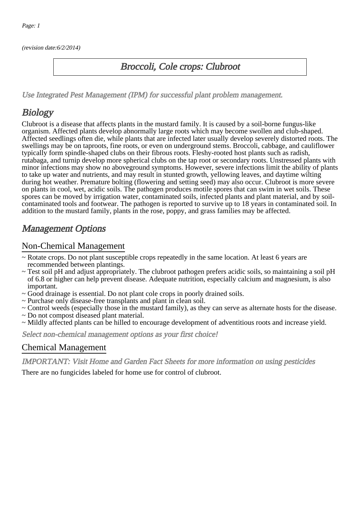(revision date:6/2/2014)

### Broccoli, Cole crops: Clubroot

[Use Integrated Pest Management \(IPM\) for successful plant problem management.](http://pep.wsu.edu/Home_Garden/H_G_Pesticide_info/urban_Integrated_Pest_Managmen/)

# **Biology**

Clubroot is a disease that affects plants in the mustard family. It is caused by a soil-borne fungus-like organism. Affected plants develop abnormally large roots which may become swollen and club-shaped. Affected seedlings often die, while plants that are infected later usually develop severely distorted roots. The swellings may be on taproots, fine roots, or even on underground stems. Broccoli, cabbage, and cauliflower typically form spindle-shaped clubs on their fibrous roots. Fleshy-rooted host plants such as radish, rutabaga, and turnip develop more spherical clubs on the tap root or secondary roots. Unstressed plants with minor infections may show no aboveground symptoms. However, severe infections limit the ability of plants to take up water and nutrients, and may result in stunted growth, yellowing leaves, and daytime wilting during hot weather. Premature bolting (flowering and setting seed) may also occur. Clubroot is more severe on plants in cool, wet, acidic soils. The pathogen produces motile spores that can swim in wet soils. These spores can be moved by irrigation water, contaminated soils, infected plants and plant material, and by soilcontaminated tools and footwear. The pathogen is reported to survive up to 18 years in contaminated soil. In addition to the mustard family, plants in the rose, poppy, and grass families may be affected.

## Management Options

#### Non-Chemical Management

- ~ Rotate crops. Do not plant susceptible crops repeatedly in the same location. At least 6 years are recommended between plantings.
- ~ Test soil pH and adjust appropriately. The clubroot pathogen prefers acidic soils, so maintaining a soil pH of 6.8 or higher can help prevent disease. Adequate nutrition, especially calcium and magnesium, is also important.
- ~ Good drainage is essential. Do not plant cole crops in poorly drained soils.
- ~ Purchase only disease-free transplants and plant in clean soil.
- ~ Control weeds (especially those in the mustard family), as they can serve as alternate hosts for the disease.
- ~ Do not compost diseased plant material.
- ~ Mildly affected plants can be hilled to encourage development of adventitious roots and increase yield.

Select non-chemical management options as your first choice!

#### Chemical Management

IMPORTANT: [Visit Home and Garden Fact Sheets for more information on using pesticides](http://pep.wsu.edu/Home_Garden/H_G_Pesticide_info/)

There are no fungicides labeled for home use for control of clubroot.